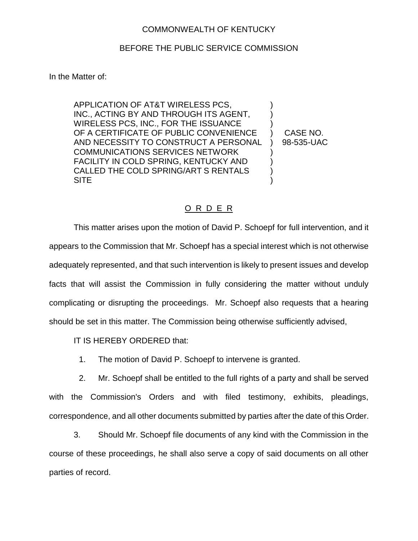## COMMONWEALTH OF KENTUCKY

## BEFORE THE PUBLIC SERVICE COMMISSION

In the Matter of:

APPLICATION OF AT&T WIRELESS PCS,  $\qquad \qquad$  ) INC., ACTING BY AND THROUGH ITS AGENT, WIRELESS PCS, INC., FOR THE ISSUANCE ) OF A CERTIFICATE OF PUBLIC CONVENIENCE ) CASE NO. AND NECESSITY TO CONSTRUCT A PERSONAL ) 98-535-UAC COMMUNICATIONS SERVICES NETWORK ) FACILITY IN COLD SPRING, KENTUCKY AND CALLED THE COLD SPRING/ART S RENTALS  $\qquad$  ) SITE )

## O R D E R

This matter arises upon the motion of David P. Schoepf for full intervention, and it appears to the Commission that Mr. Schoepf has a special interest which is not otherwise adequately represented, and that such intervention is likely to present issues and develop facts that will assist the Commission in fully considering the matter without unduly complicating or disrupting the proceedings. Mr. Schoepf also requests that a hearing should be set in this matter. The Commission being otherwise sufficiently advised,

IT IS HEREBY ORDERED that:

1. The motion of David P. Schoepf to intervene is granted.

2. Mr. Schoepf shall be entitled to the full rights of a party and shall be served with the Commission's Orders and with filed testimony, exhibits, pleadings, correspondence, and all other documents submitted by parties after the date of this Order.

3. Should Mr. Schoepf file documents of any kind with the Commission in the course of these proceedings, he shall also serve a copy of said documents on all other parties of record.